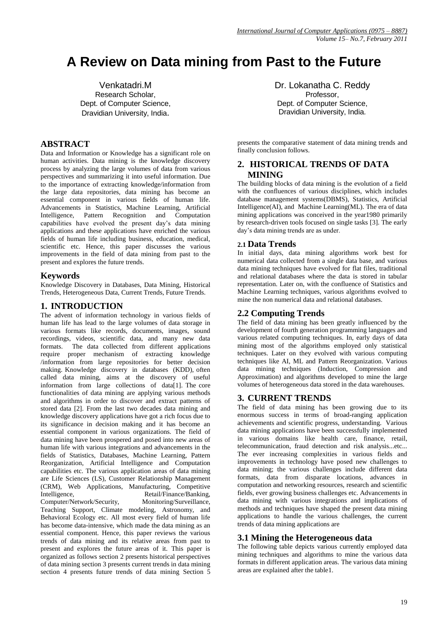# **A Review on Data mining from Past to the Future**

Venkatadri.M Research Scholar, Dept. of Computer Science, Dravidian University, India.

# **ABSTRACT**

Data and Information or Knowledge has a significant role on human activities. Data mining is the knowledge discovery process by analyzing the large volumes of data from various perspectives and summarizing it into useful information. Due to the importance of extracting knowledge/information from the large data repositories, data mining has become an essential component in various fields of human life. Advancements in Statistics, Machine Learning, Artificial Intelligence, Pattern Recognition and Computation capabilities have evolved the present day's data mining applications and these applications have enriched the various fields of human life including business, education, medical, scientific etc. Hence, this paper discusses the various improvements in the field of data mining from past to the present and explores the future trends.

#### **Keywords**

Knowledge Discovery in Databases, Data Mining, Historical Trends, Heterogeneous Data, Current Trends, Future Trends.

# **1. INTRODUCTION**

The advent of information technology in various fields of human life has lead to the large volumes of data storage in various formats like records, documents, images, sound recordings, videos, scientific data, and many new data formats. The data collected from different applications require proper mechanism of extracting knowledge /information from large repositories for better decision making. Knowledge discovery in databases (KDD), often called data mining, aims at the discovery of useful information from large collections of data[1]. The core functionalities of data mining are applying various methods and algorithms in order to discover and extract patterns of stored data [2]. From the last two decades data mining and knowledge discovery applications have got a rich focus due to its significance in decision making and it has become an essential component in various organizations. The field of data mining have been prospered and posed into new areas of human life with various integrations and advancements in the fields of Statistics, Databases, Machine Learning, Pattern Reorganization, Artificial Intelligence and Computation capabilities etc. The various application areas of data mining are Life Sciences (LS), Customer Relationship Management (CRM), Web Applications, Manufacturing, Competitive Intelligence, Retail/Finance/Banking,

Computer/Network/Security, Monitoring/Surveillance, Teaching Support, Climate modeling, Astronomy, and Behavioral Ecology etc. All most every field of human life has become data-intensive, which made the data mining as an essential component. Hence, this paper reviews the various trends of data mining and its relative areas from past to present and explores the future areas of it. This paper is organized as follows section 2 presents historical perspectives of data mining section 3 presents current trends in data mining section 4 presents future trends of data mining Section 5

Dr. Lokanatha C. Reddy Professor, Dept. of Computer Science, Dravidian University, India.

presents the comparative statement of data mining trends and finally conclusion follows.

# **2. HISTORICAL TRENDS OF DATA MINING**

The building blocks of data mining is the evolution of a field with the confluences of various disciplines, which includes database management systems(DBMS), Statistics, Artificial Intelligence(AI), and Machine Learning(ML). The era of data mining applications was conceived in the year1980 primarily by research-driven tools focused on single tasks [3]. The early day's data mining trends are as under.

# **2.1 Data Trends**

In initial days, data mining algorithms work best for numerical data collected from a single data base, and various data mining techniques have evolved for flat files, traditional and relational databases where the data is stored in tabular representation. Later on, with the confluence of Statistics and Machine Learning techniques, various algorithms evolved to mine the non numerical data and relational databases.

# **2.2 Computing Trends**

The field of data mining has been greatly influenced by the development of fourth generation programming languages and various related computing techniques. In, early days of data mining most of the algorithms employed only statistical techniques. Later on they evolved with various computing techniques like AI, ML and Pattern Reorganization. Various data mining techniques (Induction, Compression and Approximation) and algorithms developed to mine the large volumes of heterogeneous data stored in the data warehouses.

# **3. CURRENT TRENDS**

The field of data mining has been growing due to its enormous success in terms of broad-ranging application achievements and scientific progress, understanding. Various data mining applications have been successfully implemented in various domains like health care, finance, retail, telecommunication, fraud detection and risk analysis...etc... The ever increasing complexities in various fields and improvements in technology have posed new challenges to data mining; the various challenges include different data formats, data from disparate locations, advances in computation and networking resources, research and scientific fields, ever growing business challenges etc. Advancements in data mining with various integrations and implications of methods and techniques have shaped the present data mining applications to handle the various challenges, the current trends of data mining applications are

# **3.1 Mining the Heterogeneous data**

The following table depicts various currently employed data mining techniques and algorithms to mine the various data formats in different application areas. The various data mining areas are explained after the table1.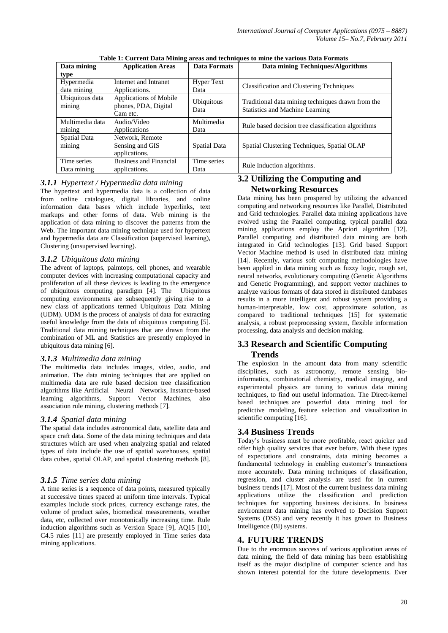| Data mining                | <b>Application Areas</b>                                   | <b>Data Formats</b>       | Data mining Techniques/Algorithms                                                           |  |
|----------------------------|------------------------------------------------------------|---------------------------|---------------------------------------------------------------------------------------------|--|
| type                       |                                                            |                           |                                                                                             |  |
| Hypermedia                 | Internet and Intranet                                      | <b>Hyper Text</b>         | <b>Classification and Clustering Techniques</b>                                             |  |
| data mining                | Applications.                                              | Data                      |                                                                                             |  |
| Ubiquitous data<br>mining  | Applications of Mobile<br>phones, PDA, Digital<br>Cam etc. | <b>Ubiquitous</b><br>Data | Traditional data mining techniques drawn from the<br><b>Statistics and Machine Learning</b> |  |
| Multimedia data<br>mining  | Audio/Video<br>Applications                                | Multimedia<br>Data        | Rule based decision tree classification algorithms                                          |  |
| Spatial Data<br>mining     | Network, Remote<br>Sensing and GIS<br>applications.        | Spatial Data              | Spatial Clustering Techniques, Spatial OLAP                                                 |  |
| Time series<br>Data mining | <b>Business and Financial</b><br>applications.             | Time series<br>Data       | Rule Induction algorithms.                                                                  |  |

**Table 1: Current Data Mining areas and techniques to mine the various Data Formats**

#### *3.1.1 Hypertext / Hypermedia data mining*

The hypertext and hypermedia data is a collection of data from online catalogues, digital libraries, and online information data bases which include hyperlinks, text markups and other forms of data. Web mining is the application of data mining to discover the patterns from the Web. The important data mining technique used for hypertext and hypermedia data are Classification (supervised learning), Clustering (unsupervised learning).

#### *3.1.2 Ubiquitous data mining*

The advent of laptops, palmtops, cell phones, and wearable computer devices with increasing computational capacity and proliferation of all these devices is leading to the emergence of ubiquitous computing paradigm [4]. The Ubiquitous computing environments are subsequently giving rise to a new class of applications termed Ubiquitous Data Mining (UDM). UDM is the process of analysis of data for extracting useful knowledge from the data of ubiquitous computing [5]. Traditional data mining techniques that are drawn from the combination of ML and Statistics are presently employed in ubiquitous data mining [6].

#### *3.1.3 Multimedia data mining*

The multimedia data includes images, video, audio, and animation. The data mining techniques that are applied on multimedia data are rule based decision tree classification algorithms like Artificial Neural Networks, Instance-based learning algorithms, Support Vector Machines, also association rule mining, clustering methods [7].

#### *3.1.4 Spatial data mining*

The spatial data includes astronomical data, satellite data and space craft data. Some of the data mining techniques and data structures which are used when analyzing spatial and related types of data include the use of spatial warehouses, spatial data cubes, spatial OLAP, and spatial clustering methods [8].

#### *3.1.5 Time series data mining*

A time series is a sequence of data points, measured typically at successive times spaced at uniform time intervals. Typical examples include stock prices, currency exchange rates, the volume of product sales, biomedical measurements, weather data, etc, collected over monotonically increasing time. Rule induction algorithms such as Version Space [9], AQ15 [10], C4.5 rules [11] are presently employed in Time series data mining applications.

# **3.2 Utilizing the Computing and Networking Resources**

Data mining has been prospered by utilizing the advanced computing and networking resources like Parallel, Distributed and Grid technologies. Parallel data mining applications have evolved using the Parallel computing, typical parallel data mining applications employ the Apriori algorithm [12]. Parallel computing and distributed data mining are both integrated in Grid technologies [13]. Grid based Support Vector Machine method is used in distributed data mining [14]. Recently, various soft computing methodologies have been applied in data mining such as fuzzy logic, rough set, neural networks, evolutionary computing (Genetic Algorithms and Genetic Programming), and support vector machines to analyze various formats of data stored in distributed databases results in a more intelligent and robust system providing a human-interpretable, low cost, approximate solution, as compared to traditional techniques [15] for systematic analysis, a robust preprocessing system, flexible information processing, data analysis and decision making.

#### **3.3 Research and Scientific Computing Trends**

The explosion in the amount data from many scientific disciplines, such as astronomy, remote sensing, bioinformatics, combinatorial chemistry, medical imaging, and experimental physics are tuning to various data mining techniques, to find out useful information. The Direct-kernel based techniques are powerful data mining tool for predictive modeling, feature selection and visualization in scientific computing [16].

#### **3.4 Business Trends**

Today's business must be more profitable, react quicker and offer high quality services that ever before. With these types of expectations and constraints, data mining becomes a fundamental technology in enabling customer's transactions more accurately. Data mining techniques of classification, regression, and cluster analysis are used for in current business trends [17]. Most of the current business data mining applications utilize the classification and prediction techniques for supporting business decisions. In business environment data mining has evolved to Decision Support Systems (DSS) and very recently it has grown to Business Intelligence (BI) systems.

#### **4. FUTURE TRENDS**

Due to the enormous success of various application areas of data mining, the field of data mining has been establishing itself as the major discipline of computer science and has shown interest potential for the future developments. Ever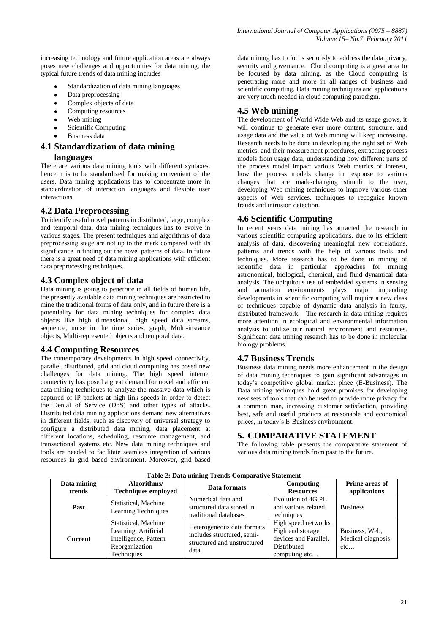increasing technology and future application areas are always poses new challenges and opportunities for data mining, the typical future trends of data mining includes

- Standardization of data mining languages
- Data preprocessing
- Complex objects of data
- Computing resources  $\bullet$
- Web mining  $\bullet$
- Scientific Computing
- Business data

# **4.1 Standardization of data mining**

# **languages**

There are various data mining tools with different syntaxes, hence it is to be standardized for making convenient of the users. Data mining applications has to concentrate more in standardization of interaction languages and flexible user interactions.

#### **4.2 Data Preprocessing**

To identify useful novel patterns in distributed, large, complex and temporal data, data mining techniques has to evolve in various stages. The present techniques and algorithms of data preprocessing stage are not up to the mark compared with its significance in finding out the novel patterns of data. In future there is a great need of data mining applications with efficient data preprocessing techniques.

#### **4.3 Complex object of data**

Data mining is going to penetrate in all fields of human life, the presently available data mining techniques are restricted to mine the traditional forms of data only, and in future there is a potentiality for data mining techniques for complex data objects like high dimensional, high speed data streams, sequence, noise in the time series, graph, Multi-instance objects, Multi-represented objects and temporal data.

# **4.4 Computing Resources**

The contemporary developments in high speed connectivity, parallel, distributed, grid and cloud computing has posed new challenges for data mining. The high speed internet connectivity has posed a great demand for novel and efficient data mining techniques to analyze the massive data which is captured of IP packets at high link speeds in order to detect the Denial of Service (DoS) and other types of attacks. Distributed data mining applications demand new alternatives in different fields, such as discovery of universal strategy to configure a distributed data mining, data placement at different locations, scheduling, resource management, and transactional systems etc. New data mining techniques and tools are needed to facilitate seamless integration of various resources in grid based environment. Moreover, grid based

data mining has to focus seriously to address the data privacy, security and governance. Cloud computing is a great area to be focused by data mining, as the Cloud computing is penetrating more and more in all ranges of business and scientific computing. Data mining techniques and applications are very much needed in cloud computing paradigm.

# **4.5 Web mining**

The development of World Wide Web and its usage grows, it will continue to generate ever more content, structure, and usage data and the value of Web mining will keep increasing. Research needs to be done in developing the right set of Web metrics, and their measurement procedures, extracting process models from usage data, understanding how different parts of the process model impact various Web metrics of interest, how the process models change in response to various changes that are made-changing stimuli to the user, developing Web mining techniques to improve various other aspects of Web services, techniques to recognize known frauds and intrusion detection.

# **4.6 Scientific Computing**

In recent years data mining has attracted the research in various scientific computing applications, due to its efficient analysis of data, discovering meaningful new correlations, patterns and trends with the help of various tools and techniques. More research has to be done in mining of scientific data in particular approaches for mining astronomical, biological, chemical, and fluid dynamical data analysis. The ubiquitous use of embedded systems in sensing and actuation environments plays major impending developments in scientific computing will require a new class of techniques capable of dynamic data analysis in faulty, distributed framework. The research in data mining requires more attention in ecological and environmental information analysis to utilize our natural environment and resources. Significant data mining research has to be done in molecular biology problems.

# **4.7 Business Trends**

Business data mining needs more enhancement in the design of data mining techniques to gain significant advantages in today's competitive global market place (E-Business). The Data mining techniques hold great promises for developing new sets of tools that can be used to provide more privacy for a common man, increasing customer satisfaction, providing best, safe and useful products at reasonable and economical prices, in today's E-Business environment.

# **5. COMPARATIVE STATEMENT**

The following table presents the comparative statement of various data mining trends from past to the future.

| Data mining | Algorithms/                                 | Data formats                                                                                    | Computing             | Prime areas of    |
|-------------|---------------------------------------------|-------------------------------------------------------------------------------------------------|-----------------------|-------------------|
| trends      | <b>Techniques employed</b>                  |                                                                                                 | <b>Resources</b>      | applications      |
| Past        | Statistical, Machine<br>Learning Techniques | Numerical data and                                                                              | Evolution of 4G PL    |                   |
|             |                                             | structured data stored in                                                                       | and various related   | <b>Business</b>   |
|             |                                             | traditional databases                                                                           | techniques            |                   |
| Current     | Statistical, Machine                        | Heterogeneous data formats<br>includes structured, semi-<br>structured and unstructured<br>data | High speed networks,  |                   |
|             | Learning, Artificial                        |                                                                                                 | High end storage      | Business, Web,    |
|             | Intelligence, Pattern                       |                                                                                                 | devices and Parallel, | Medical diagnosis |
|             | Reorganization                              |                                                                                                 | Distributed           | etc               |
|             | Techniques                                  |                                                                                                 | computing etc         |                   |

#### **Table 2: Data mining Trends Comparative Statement**